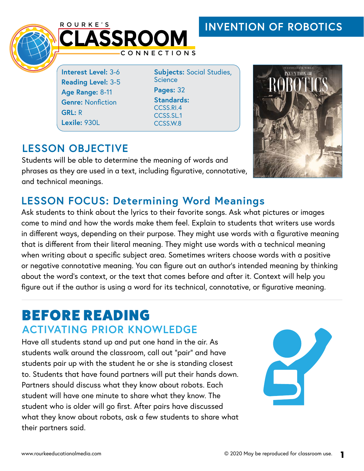## **INVENTION OF ROBOTICS**



**Interest Level:** 3-6 **Reading Level:** 3-5 **Age Range:** 8-11 **Genre: Nonfiction GRL:** R **Lexile:** 930L

**Subjects:** Social Studies, **Science Pages:** 32 **Standards:**  CCSS.RI.4 CCSS.SL.1 CCSS.W.8

## **LESSON OBJECTIVE**

Students will be able to determine the meaning of words and phrases as they are used in a text, including figurative, connotative, and technical meanings.



## **LESSON FOCUS: Determining Word Meanings**

Ask students to think about the lyrics to their favorite songs. Ask what pictures or images come to mind and how the words make them feel. Explain to students that writers use words in different ways, depending on their purpose. They might use words with a figurative meaning that is different from their literal meaning. They might use words with a technical meaning when writing about a specific subject area. Sometimes writers choose words with a positive or negative connotative meaning. You can figure out an author's intended meaning by thinking about the word's context, or the text that comes before and after it. Context will help you figure out if the author is using a word for its technical, connotative, or figurative meaning.

# BEFORE READING **ACTIVATING PRIOR KNOWLEDGE**

Have all students stand up and put one hand in the air. As students walk around the classroom, call out "pair" and have students pair up with the student he or she is standing closest to. Students that have found partners will put their hands down. Partners should discuss what they know about robots. Each student will have one minute to share what they know. The student who is older will go first. After pairs have discussed what they know about robots, ask a few students to share what their partners said.

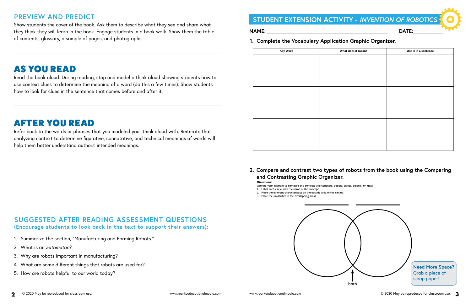## **PREVIEW AND PREDICT**

Show students the cover of the book. Ask them to describe what they see and share what they think they will learn in the book. Engage students in a book walk. Show them the table of contents, glossary, a sample of pages, and photographs.

# AS YOU READ

Read the book aloud. During reading, stop and model a think aloud showing students how to use context clues to determine the meaning of a word (do this a few times). Show students how to look for clues in the sentence that comes before and after it.

# AFTER YOU READ

### **2. Compare and contrast two types of robots from the book using the Comparing and Contrasting Graphic Organizer. Directions:**

Refer back to the words or phrases that you modeled your think aloud with. Reiterate that analyzing context to determine figurative, connotative, and technical meanings of words will help them better understand authors' intended meanings.

### **SUGGESTED AFTER READING ASSESSMENT QUESTIONS (Encourage students to look back in the text to support their answers):**

- 1. Summarize the section, "Manufacturing and Farming Robots."
- 2. What is an *automaton*?
- 3. Why are robots important in manufacturing?
- 4. What are some different things that robots are used for?
- 5. How are robots helpful to our world today?



Use the Venn diagram to compare and contrast two concepts, people, places, objects, or ideas.



- 1. Label each circle with the name of the concept. 2. Place the different characteristics on the outside area of the circles.
- 3. Place the similarities in the overlapping areas.

**1. Complete the Vocabulary Application Graphic Organizer.** 

| <b>Key Word</b> | What does it mean? | Use it in a sentence |
|-----------------|--------------------|----------------------|
|                 |                    |                      |
|                 |                    |                      |
|                 |                    |                      |
|                 |                    |                      |
|                 |                    |                      |
|                 |                    |                      |
|                 |                    |                      |
|                 |                    |                      |
|                 |                    |                      |
|                 |                    |                      |
|                 |                    |                      |
|                 |                    |                      |
|                 |                    |                      |
|                 |                    |                      |
|                 |                    |                      |